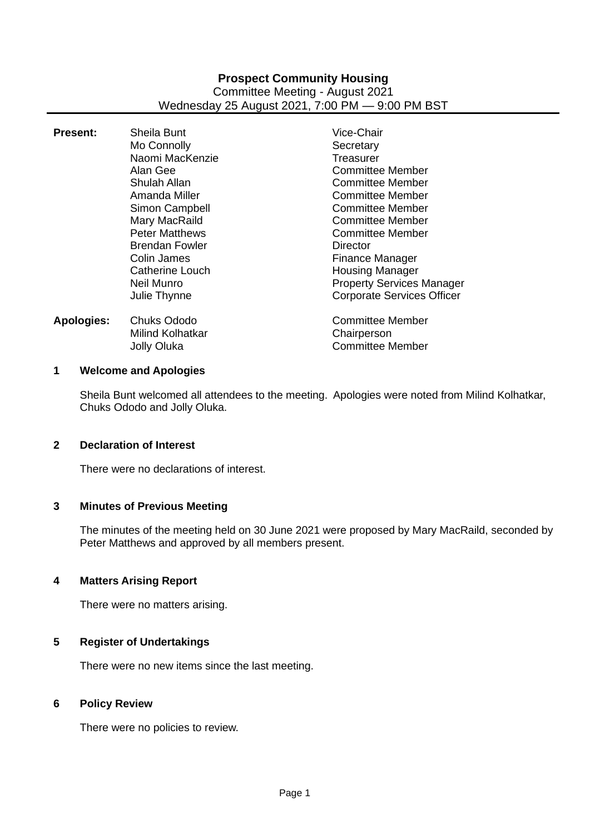# **Prospect Community Housing** Committee Meeting - August 2021 Wednesday 25 August 2021, 7:00 PM — 9:00 PM BST

| <b>Present:</b>   | Sheila Bunt<br>Mo Connolly<br>Naomi MacKenzie<br>Alan Gee<br>Shulah Allan<br>Amanda Miller<br>Simon Campbell                    | Vice-Chair<br>Secretary<br>Treasurer<br><b>Committee Member</b><br>Committee Member<br><b>Committee Member</b><br><b>Committee Member</b>                                            |
|-------------------|---------------------------------------------------------------------------------------------------------------------------------|--------------------------------------------------------------------------------------------------------------------------------------------------------------------------------------|
|                   | Mary MacRaild<br><b>Peter Matthews</b><br><b>Brendan Fowler</b><br>Colin James<br>Catherine Louch<br>Neil Munro<br>Julie Thynne | <b>Committee Member</b><br>Committee Member<br>Director<br><b>Finance Manager</b><br><b>Housing Manager</b><br><b>Property Services Manager</b><br><b>Corporate Services Officer</b> |
| <b>Apologies:</b> | Chuks Ododo<br>Milind Kolhatkar<br><b>Jolly Oluka</b>                                                                           | <b>Committee Member</b><br>Chairperson<br><b>Committee Member</b>                                                                                                                    |

## **1 Welcome and Apologies**

Sheila Bunt welcomed all attendees to the meeting. Apologies were noted from Milind Kolhatkar, Chuks Ododo and Jolly Oluka.

#### **2 Declaration of Interest**

There were no declarations of interest.

# **3 Minutes of Previous Meeting**

The minutes of the meeting held on 30 June 2021 were proposed by Mary MacRaild, seconded by Peter Matthews and approved by all members present.

#### **4 Matters Arising Report**

There were no matters arising.

#### **5 Register of Undertakings**

There were no new items since the last meeting.

## **6 Policy Review**

There were no policies to review.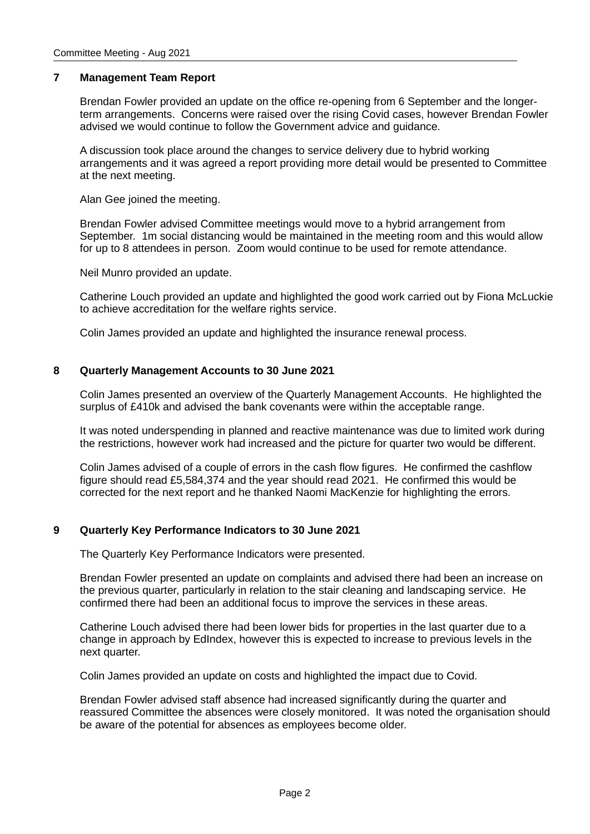## **7 Management Team Report**

Brendan Fowler provided an update on the office re-opening from 6 September and the longerterm arrangements. Concerns were raised over the rising Covid cases, however Brendan Fowler advised we would continue to follow the Government advice and guidance.

A discussion took place around the changes to service delivery due to hybrid working arrangements and it was agreed a report providing more detail would be presented to Committee at the next meeting.

Alan Gee joined the meeting.

Brendan Fowler advised Committee meetings would move to a hybrid arrangement from September. 1m social distancing would be maintained in the meeting room and this would allow for up to 8 attendees in person. Zoom would continue to be used for remote attendance.

Neil Munro provided an update.

Catherine Louch provided an update and highlighted the good work carried out by Fiona McLuckie to achieve accreditation for the welfare rights service.

Colin James provided an update and highlighted the insurance renewal process.

# **8 Quarterly Management Accounts to 30 June 2021**

Colin James presented an overview of the Quarterly Management Accounts. He highlighted the surplus of £410k and advised the bank covenants were within the acceptable range.

It was noted underspending in planned and reactive maintenance was due to limited work during the restrictions, however work had increased and the picture for quarter two would be different.

Colin James advised of a couple of errors in the cash flow figures. He confirmed the cashflow figure should read £5,584,374 and the year should read 2021. He confirmed this would be corrected for the next report and he thanked Naomi MacKenzie for highlighting the errors.

# **9 Quarterly Key Performance Indicators to 30 June 2021**

The Quarterly Key Performance Indicators were presented.

Brendan Fowler presented an update on complaints and advised there had been an increase on the previous quarter, particularly in relation to the stair cleaning and landscaping service. He confirmed there had been an additional focus to improve the services in these areas.

Catherine Louch advised there had been lower bids for properties in the last quarter due to a change in approach by EdIndex, however this is expected to increase to previous levels in the next quarter.

Colin James provided an update on costs and highlighted the impact due to Covid.

Brendan Fowler advised staff absence had increased significantly during the quarter and reassured Committee the absences were closely monitored. It was noted the organisation should be aware of the potential for absences as employees become older.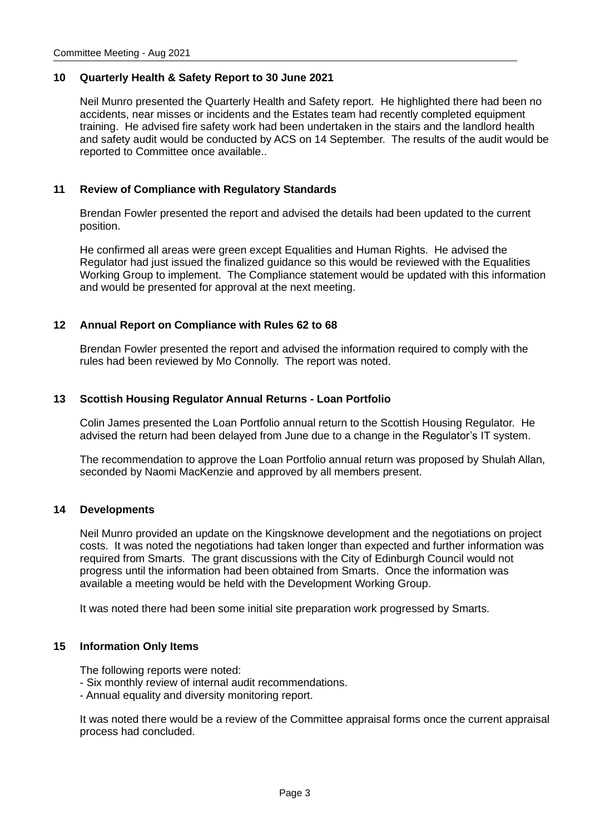## **10 Quarterly Health & Safety Report to 30 June 2021**

Neil Munro presented the Quarterly Health and Safety report. He highlighted there had been no accidents, near misses or incidents and the Estates team had recently completed equipment training. He advised fire safety work had been undertaken in the stairs and the landlord health and safety audit would be conducted by ACS on 14 September. The results of the audit would be reported to Committee once available..

## **11 Review of Compliance with Regulatory Standards**

Brendan Fowler presented the report and advised the details had been updated to the current position.

He confirmed all areas were green except Equalities and Human Rights. He advised the Regulator had just issued the finalized guidance so this would be reviewed with the Equalities Working Group to implement. The Compliance statement would be updated with this information and would be presented for approval at the next meeting.

## **12 Annual Report on Compliance with Rules 62 to 68**

Brendan Fowler presented the report and advised the information required to comply with the rules had been reviewed by Mo Connolly. The report was noted.

## **13 Scottish Housing Regulator Annual Returns - Loan Portfolio**

Colin James presented the Loan Portfolio annual return to the Scottish Housing Regulator. He advised the return had been delayed from June due to a change in the Regulator's IT system.

The recommendation to approve the Loan Portfolio annual return was proposed by Shulah Allan, seconded by Naomi MacKenzie and approved by all members present.

#### **14 Developments**

Neil Munro provided an update on the Kingsknowe development and the negotiations on project costs. It was noted the negotiations had taken longer than expected and further information was required from Smarts. The grant discussions with the City of Edinburgh Council would not progress until the information had been obtained from Smarts. Once the information was available a meeting would be held with the Development Working Group.

It was noted there had been some initial site preparation work progressed by Smarts.

#### **15 Information Only Items**

The following reports were noted:

- Six monthly review of internal audit recommendations.
- Annual equality and diversity monitoring report.

It was noted there would be a review of the Committee appraisal forms once the current appraisal process had concluded.